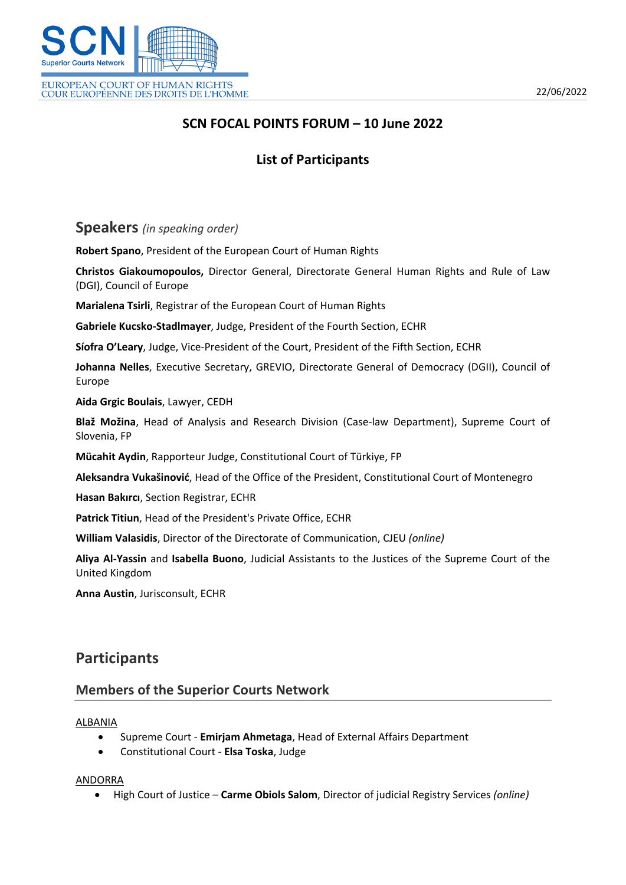

# **SCN FOCAL POINTS FORUM – 10 June 2022**

# **List of Participants**

**Speakers** *(in speaking order)*

**Robert Spano**, President of the European Court of Human Rights

**Christos Giakoumopoulos,** Director General, Directorate General Human Rights and Rule of Law (DGI), Council of Europe

**Marialena Tsirli**, Registrar of the European Court of Human Rights

**Gabriele Kucsko-Stadlmayer**, Judge, President of the Fourth Section, ECHR

**Síofra O'Leary**, Judge, Vice-President of the Court, President of the Fifth Section, ECHR

**Johanna Nelles**, Executive Secretary, GREVIO, Directorate General of Democracy (DGII), Council of Europe

**Aida Grgic Boulais**, Lawyer, CEDH

**Blaž Možina**, Head of Analysis and Research Division (Case-law Department), Supreme Court of Slovenia, FP

**Mücahit Aydin**, Rapporteur Judge, Constitutional Court of Türkiye, FP

**Aleksandra Vukašinović**, Head of the Office of the President, Constitutional Court of Montenegro

**Hasan Bakırcı**, Section Registrar, ECHR

**Patrick Titiun**, Head of the President's Private Office, ECHR

**William Valasidis**, Director of the Directorate of Communication, CJEU *(online)*

**Aliya Al-Yassin** and **Isabella Buono**, Judicial Assistants to the Justices of the Supreme Court of the United Kingdom

**Anna Austin**, Jurisconsult, ECHR

# **Participants**

## **Members of the Superior Courts Network**

## ALBANIA

- Supreme Court **Emirjam Ahmetaga**, Head of External Affairs Department
- Constitutional Court **Elsa Toska**, Judge

## ANDORRA

High Court of Justice – **Carme Obiols Salom**, Director of judicial Registry Services *(online)*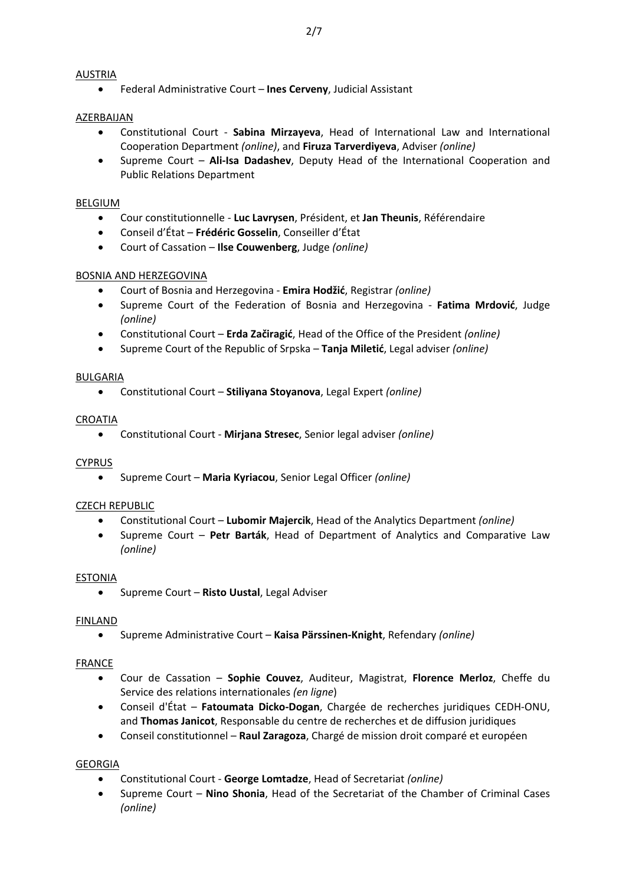## AUSTRIA

Federal Administrative Court – **Ines Cerveny**, Judicial Assistant

## AZERBAIJAN

- Constitutional Court **Sabina Mirzayeva**, Head of International Law and International Cooperation Department *(online)*, and **Firuza Tarverdiyeva**, Adviser *(online)*
- Supreme Court **Ali-Isa Dadashev**, Deputy Head of the International Cooperation and Public Relations Department

## BELGIUM

- Cour constitutionnelle **Luc Lavrysen**, Président, et **Jan Theunis**, Référendaire
- Conseil d'État **Frédéric Gosselin**, Conseiller d'État
- Court of Cassation **Ilse Couwenberg**, Judge *(online)*

## BOSNIA AND HERZEGOVINA

- Court of Bosnia and Herzegovina **Emira Hodžić**, Registrar *(online)*
- Supreme Court of the Federation of Bosnia and Herzegovina **Fatima Mrdović**, Judge *(online)*
- Constitutional Court **Erda Začiragić**, Head of the Office of the President *(online)*
- Supreme Court of the Republic of Srpska **Tanja Miletić**, Legal adviser *(online)*

## BULGARIA

Constitutional Court – **Stiliyana Stoyanova**, Legal Expert *(online)*

#### CROATIA

Constitutional Court - **Mirjana Stresec**, Senior legal adviser *(online)*

## CYPRUS

Supreme Court – **Maria Kyriacou**, Senior Legal Officer *(online)*

## CZECH REPUBLIC

- Constitutional Court **Lubomir Majercik**, Head of the Analytics Department *(online)*
- Supreme Court **Petr Barták**, Head of Department of Analytics and Comparative Law *(online)*

## ESTONIA

Supreme Court – **Risto Uustal**, Legal Adviser

## FINLAND

Supreme Administrative Court – **Kaisa Pärssinen-Knight**, Refendary *(online)*

## FRANCE

- Cour de Cassation **Sophie Couvez**, Auditeur, Magistrat, **Florence Merloz**, Cheffe du Service des relations internationales *(en ligne*)
- Conseil d'État **Fatoumata Dicko-Dogan**, Chargée de recherches juridiques CEDH-ONU, and **Thomas Janicot**, Responsable du centre de recherches et de diffusion juridiques
- Conseil constitutionnel **Raul Zaragoza**, Chargé de mission droit comparé et européen

## GEORGIA

- Constitutional Court **George Lomtadze**, Head of Secretariat *(online)*
- Supreme Court **Nino Shonia**, Head of the Secretariat of the Chamber of Criminal Cases *(online)*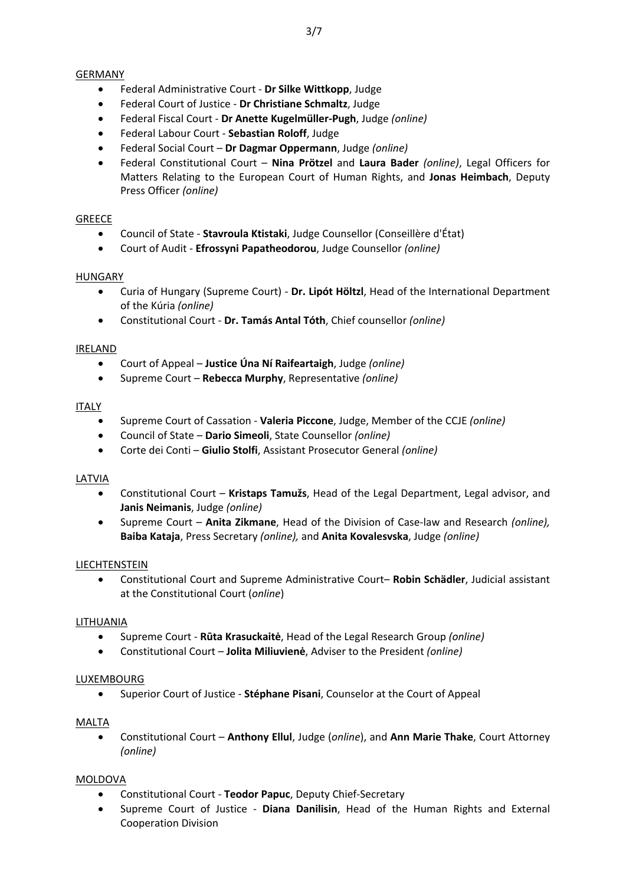## GERMANY

- Federal Administrative Court **Dr Silke Wittkopp**, Judge
- Federal Court of Justice **Dr Christiane Schmaltz**, Judge
- Federal Fiscal Court **Dr Anette Kugelmüller-Pugh**, Judge *(online)*
- Federal Labour Court **Sebastian Roloff**, Judge
- Federal Social Court **Dr Dagmar Oppermann**, Judge *(online)*
- Federal Constitutional Court **Nina Prötzel** and **Laura Bader** *(online)*, Legal Officers for Matters Relating to the European Court of Human Rights, and **Jonas Heimbach**, Deputy Press Officer *(online)*

## **GREECE**

- Council of State **Stavroula Ktistaki**, Judge Counsellor (Conseillère d'État)
- Court of Audit **Efrossyni Papatheodorou**, Judge Counsellor *(online)*

## HUNGARY

- Curia of Hungary (Supreme Court) **Dr. Lipót Höltzl**, Head of the International Department of the Kúria *(online)*
- Constitutional Court **Dr. Tamás Antal Tóth**, Chief counsellor *(online)*

## IRELAND

- Court of Appeal **Justice Úna Ní Raifeartaigh**, Judge *(online)*
- Supreme Court **Rebecca Murphy**, Representative *(online)*

## ITALY

- Supreme Court of Cassation **Valeria Piccone**, Judge, Member of the CCJE *(online)*
- Council of State **Dario Simeoli**, State Counsellor *(online)*
- Corte dei Conti **Giulio Stolfi**, Assistant Prosecutor General *(online)*

## LATVIA

- Constitutional Court **Kristaps Tamužs**, Head of the Legal Department, Legal advisor, and **Janis Neimanis**, Judge *(online)*
- Supreme Court **Anita Zikmane**, Head of the Division of Case-law and Research *(online),* **Baiba Kataja**, Press Secretary *(online),* and **Anita Kovalesvska**, Judge *(online)*

## LIECHTENSTEIN

 Constitutional Court and Supreme Administrative Court– **Robin Schädler**, Judicial assistant at the Constitutional Court (*online*)

## LITHUANIA

- Supreme Court **Rūta Krasuckaitė**, Head of the Legal Research Group *(online)*
- Constitutional Court **Jolita Miliuvienė**, Adviser to the President *(online)*

## LUXEMBOURG

Superior Court of Justice - **Stéphane Pisani**, Counselor at the Court of Appeal

## MALTA

 Constitutional Court – **Anthony Ellul**, Judge (*online*), and **Ann Marie Thake**, Court Attorney *(online)*

## MOLDOVA

- Constitutional Court **Teodor Papuc**, Deputy Chief-Secretary
- Supreme Court of Justice **Diana Danilisin**, Head of the Human Rights and External Cooperation Division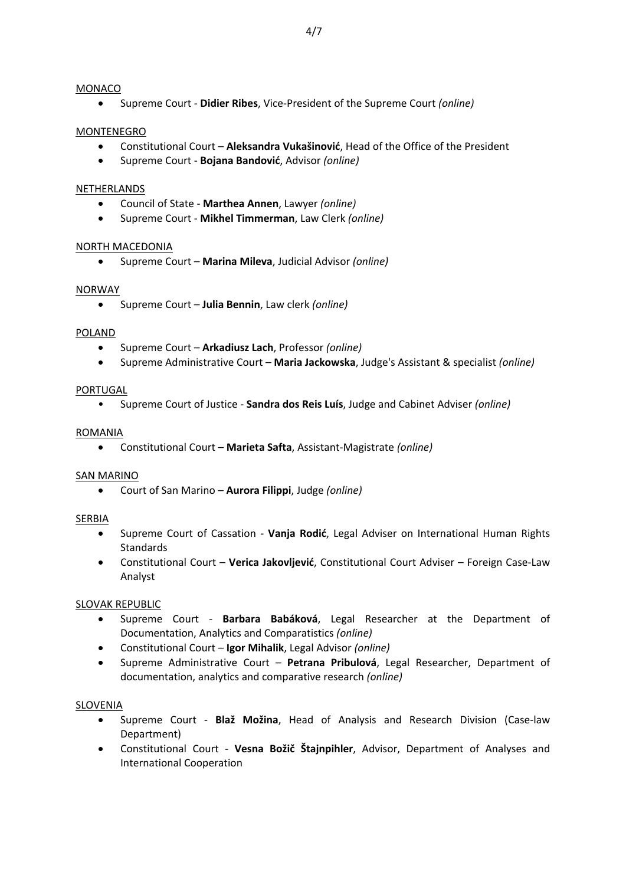#### MONACO

Supreme Court - **Didier Ribes**, Vice-President of the Supreme Court *(online)*

#### MONTENEGRO

- Constitutional Court **Aleksandra Vukašinović**, Head of the Office of the President
- Supreme Court **Bojana Bandović**, Advisor *(online)*

#### **NETHERLANDS**

- Council of State **Marthea Annen**, Lawyer *(online)*
- Supreme Court **Mikhel Timmerman**, Law Clerk *(online)*

#### NORTH MACEDONIA

Supreme Court – **Marina Mileva**, Judicial Advisor *(online)*

#### NORWAY

Supreme Court – **Julia Bennin**, Law clerk *(online)*

#### POLAND

- Supreme Court **Arkadiusz Lach**, Professor *(online)*
- Supreme Administrative Court **Maria Jackowska**, Judge's Assistant & specialist *(online)*

#### PORTUGAL

• Supreme Court of Justice - **Sandra dos Reis Luís**, Judge and Cabinet Adviser *(online)*

#### ROMANIA

Constitutional Court – **Marieta Safta**, Assistant-Magistrate *(online)*

## SAN MARINO

Court of San Marino – **Aurora Filippi**, Judge *(online)*

## SERBIA

- Supreme Court of Cassation **Vanja Rodić**, Legal Adviser on International Human Rights **Standards**
- Constitutional Court **Verica Jakovljević**, Constitutional Court Adviser Foreign Case-Law Analyst

## SLOVAK REPUBLIC

- Supreme Court **Barbara Babáková**, Legal Researcher at the Department of Documentation, Analytics and Comparatistics *(online)*
- Constitutional Court **Igor Mihalik**, Legal Advisor *(online)*
- Supreme Administrative Court **Petrana Pribulová**, Legal Researcher, Department of documentation, analytics and comparative research *(online)*

## SLOVENIA

- Supreme Court **Blaž Možina**, Head of Analysis and Research Division (Case-law Department)
- Constitutional Court **Vesna Božič Štajnpihler**, Advisor, Department of Analyses and International Cooperation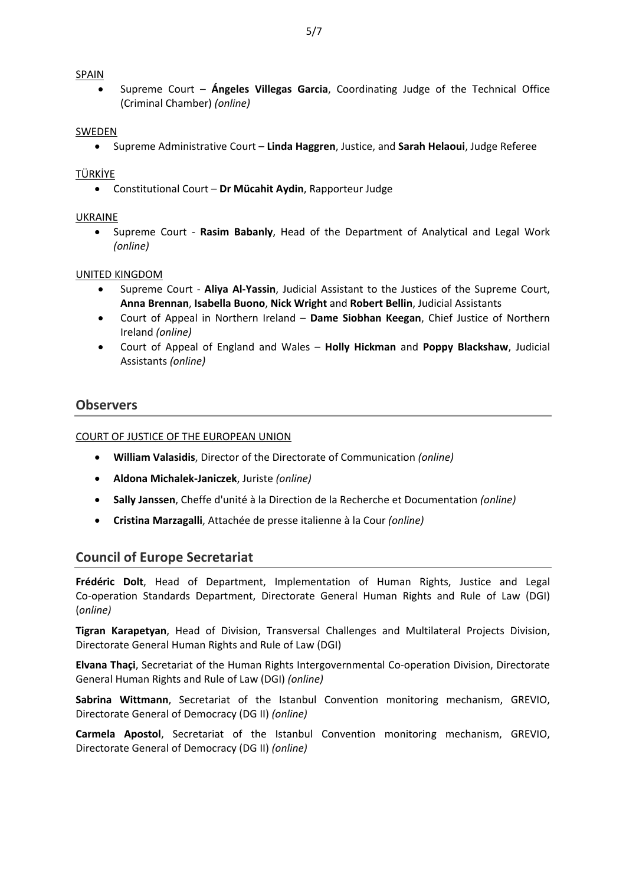#### SPAIN

 Supreme Court – **Ángeles Villegas Garcia**, Coordinating Judge of the Technical Office (Criminal Chamber) *(online)*

#### SWEDEN

Supreme Administrative Court – **Linda Haggren**, Justice, and **Sarah Helaoui**, Judge Referee

#### TÜRKİYE

Constitutional Court – **Dr Mücahit Aydin**, Rapporteur Judge

#### UKRAINE

 [Supreme](http://www.scourt.gov.ua/clients/vsu/vsuen.nsf) Court - **Rasim Babanly**, Head of the Department of Analytical and Legal Work *(online)*

#### UNITED KINGDOM

- Supreme Court **Aliya Al-Yassin**, Judicial Assistant to the Justices of the Supreme Court, **Anna Brennan**, **Isabella Buono**, **Nick Wright** and **Robert Bellin**, Judicial Assistants
- Court of Appeal in Northern Ireland **Dame Siobhan Keegan**, Chief Justice of Northern Ireland *(online)*
- Court of Appeal of England and Wales **Holly Hickman** and **Poppy Blackshaw**, Judicial Assistants *(online)*

## **Observers**

#### COURT OF JUSTICE OF THE EUROPEAN UNION

- **William Valasidis**, Director of the Directorate of Communication *(online)*
- **Aldona Michalek-Janiczek**, Juriste *(online)*
- **Sally Janssen**, Cheffe d'unité à la Direction de la Recherche et Documentation *(online)*
- **Cristina Marzagalli**, Attachée de presse italienne à la Cour *(online)*

## **Council of Europe Secretariat**

**Frédéric Dolt**, Head of Department, [Implementation](https://cs.coe.int/_layouts/orgchart/orgchart.aspx?lcid=1033&key=773&NameSimple=dolt&open=false) of Human Rights, Justice and Legal [Co-operation](https://cs.coe.int/_layouts/orgchart/orgchart.aspx?lcid=1033&key=773&NameSimple=dolt&open=false) Standards Department, Directorate General Human Rights and Rule of Law (DGI) (*online)*

**Tigran Karapetyan**, Head of Division, Transversal Challenges and Multilateral Projects Division, Directorate General Human Rights and Rule of Law (DGI)

**Elvana Thaçi**, Secretariat of the Human Rights Intergovernmental Co-operation Division, Directorate General Human Rights and Rule of Law (DGI) *(online)*

**Sabrina Wittmann**, Secretariat of the Istanbul Convention monitoring mechanism, GREVIO, Directorate General of Democracy (DG II) *(online)*

**Carmela Apostol**, Secretariat of the Istanbul Convention monitoring mechanism, GREVIO, Directorate General of Democracy (DG II) *(online)*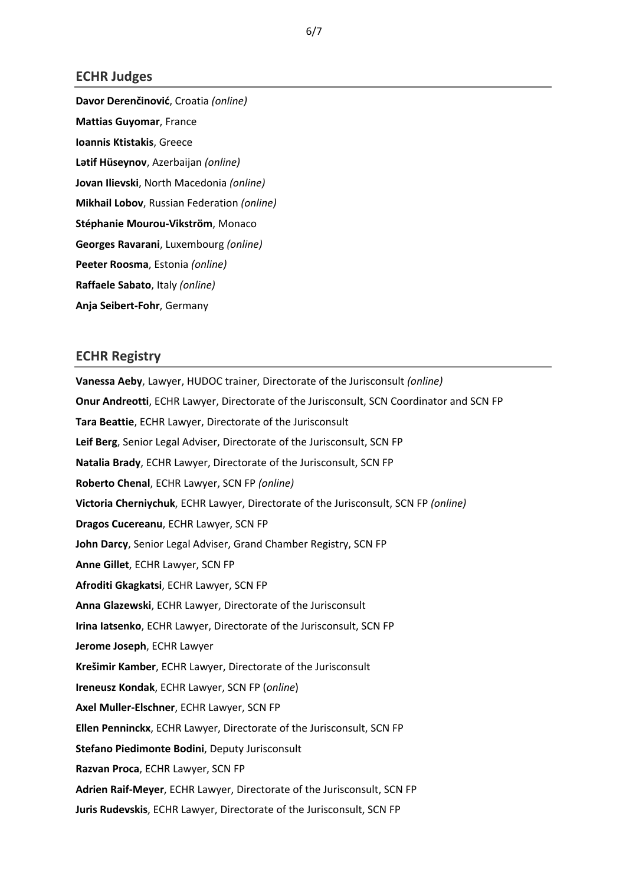### **ECHR Judges**

**Davor Derenčinović**, Croatia *(online)* **Mattias Guyomar**, France **Ioannis Ktistakis**, Greece **Lətif Hüseynov**, Azerbaijan *(online)* **Jovan Ilievski**, North Macedonia *(online)* **Mikhail Lobov**, Russian Federation *(online)* **Stéphanie Mourou-Vikström**, Monaco **Georges Ravarani**, Luxembourg *(online)* **Peeter Roosma**, Estonia *(online)* **Raffaele Sabato**, Italy *(online)* **Anja Seibert-Fohr**, Germany

## **ECHR Registry**

**Vanessa Aeby**, Lawyer, HUDOC trainer, Directorate of the Jurisconsult *(online)* **Onur Andreotti**, ECHR Lawyer, Directorate of the Jurisconsult, SCN Coordinator and SCN FP **Tara Beattie**, ECHR Lawyer, Directorate of the Jurisconsult **Leif Berg**, Senior Legal Adviser, Directorate of the Jurisconsult, SCN FP **Natalia Brady**, ECHR Lawyer, Directorate of the Jurisconsult, SCN FP **Roberto Chenal**, ECHR Lawyer, SCN FP *(online)* **Victoria Cherniychuk**, ECHR Lawyer, Directorate of the Jurisconsult, SCN FP *(online)* **Dragos Cucereanu**, ECHR Lawyer, SCN FP **John Darcy**, Senior Legal Adviser, Grand Chamber Registry, SCN FP **Anne Gillet**, ECHR Lawyer, SCN FP **Afroditi Gkagkatsi**, ECHR Lawyer, SCN FP **Anna Glazewski**, ECHR Lawyer, Directorate of the Jurisconsult **Irina Iatsenko**, ECHR Lawyer, Directorate of the Jurisconsult, SCN FP **Jerome Joseph**, ECHR Lawyer **Krešimir Kamber**, ECHR Lawyer, Directorate of the Jurisconsult **Ireneusz Kondak**, ECHR Lawyer, SCN FP (*online*) **Axel Muller-Elschner**, ECHR Lawyer, SCN FP **Ellen Penninckx**, ECHR Lawyer, Directorate of the Jurisconsult, SCN FP **Stefano Piedimonte Bodini**, Deputy Jurisconsult **Razvan Proca**, ECHR Lawyer, SCN FP **Adrien Raif-Meyer**, ECHR Lawyer, Directorate of the Jurisconsult, SCN FP **Juris Rudevskis**, ECHR Lawyer, Directorate of the Jurisconsult, SCN FP